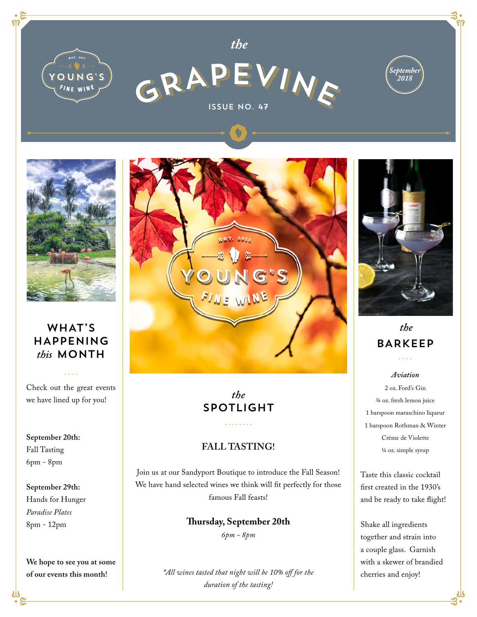



*the*





## WHAT'S HAPPENING *this* MONTH

Check out the great events we have lined up for you!

**September 20th:**  Fall Tasting 6pm - 8pm

### **September 29th:**  Hands for Hunger *Paradise Plates* 8pm - 12pm

**We hope to see you at some of our events this month!**



# *the* SPOTLIGHT

### **FALL TASTING!**

. . . . . . . .

Join us at our Sandyport Boutique to introduce the Fall Season! We have hand selected wines we think will fit perfectly for those famous Fall feasts!

> **Thursday, September 20th** *6pm - 8pm*

*\*All wines tasted that night will be 10% off for the duration of the tasting!*



## *the* BARKEEP  $\ldots$

*Aviation* 2 oz. Ford's Gin ¾ oz. fresh lemon juice 1 barspoon maraschino liqueur 1 barspoon Rothman & Winter Crème de Violette ¼ oz. simple syrup

Taste this classic cocktail first created in the 1930's and be ready to take flight!

Shake all ingredients together and strain into a couple glass. Garnish with a skewer of brandied cherries and enjoy!